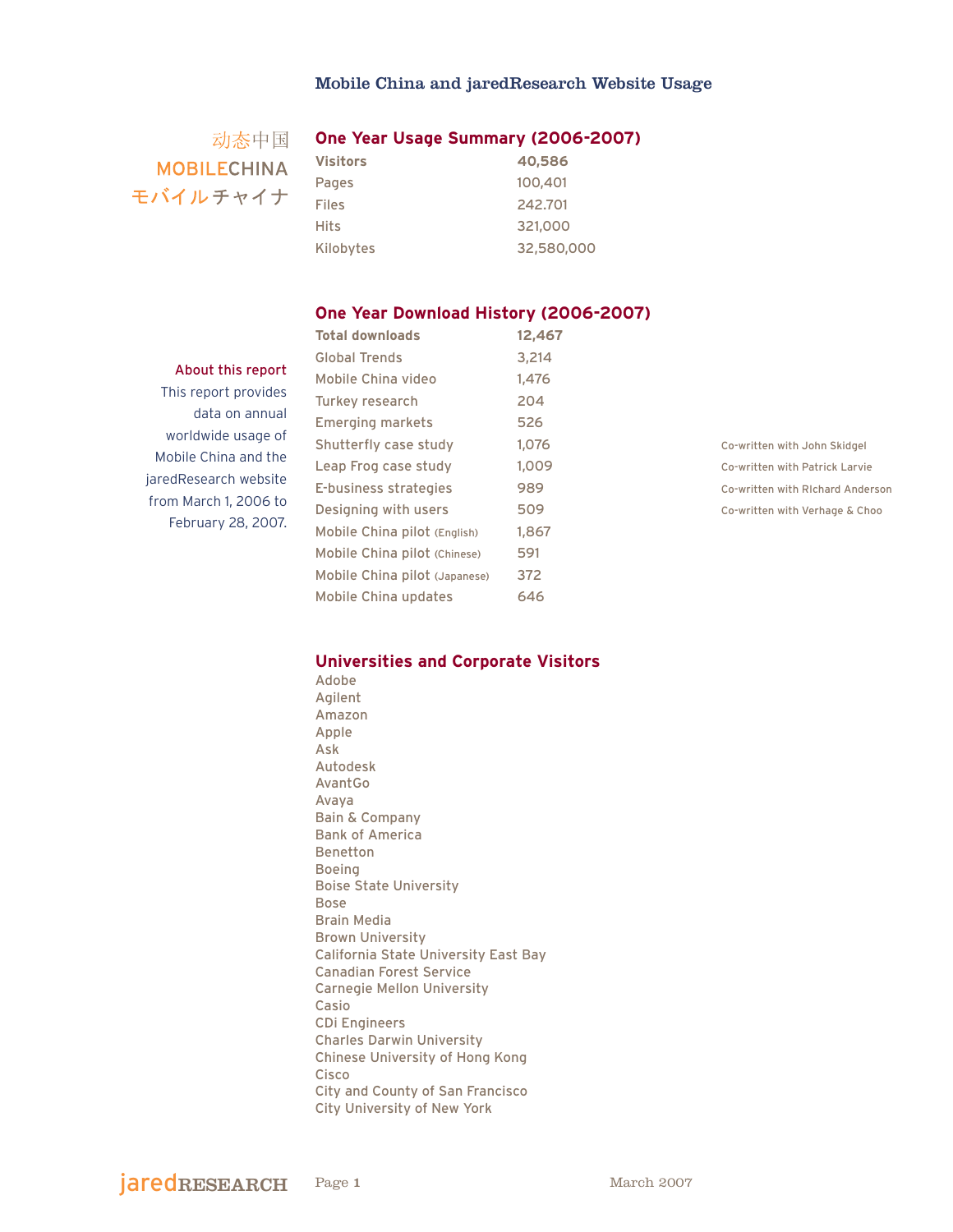# 动态中国 **MOBILECHINA** モバイルチャイナ

## **One Year Usage Summary (2006-2007)**

| <b>Visitors</b> | 40,586     |
|-----------------|------------|
| Pages           | 100,401    |
| Files           | 242.701    |
| Hits            | 321,000    |
| Kilobytes       | 32,580,000 |

#### **One Year Download History (2006-2007)**

#### About this report

This report provides data on annual worldwide usage of Mobile China and the jaredResearch website from March 1, 2006 to February 28, 2007.

| <b>Total downloads</b>        | 12,467 |
|-------------------------------|--------|
| <b>Global Trends</b>          | 3,214  |
| Mobile China video            | 1.476  |
| Turkey research               | 204    |
| <b>Emerging markets</b>       | 526    |
| Shutterfly case study         | 1,076  |
| Leap Frog case study          | 1.009  |
| E-business strategies         | 989    |
| Designing with users          | 509    |
| Mobile China pilot (English)  | 1,867  |
| Mobile China pilot (Chinese)  | 591    |
| Mobile China pilot (Japanese) | 372    |
| Mobile China updates          | 646    |
|                               |        |

Co-written with John Skidgel Co-written with Patrick Larvie Co-written with RIchard Anderson Co-written with Verhage & Choo

## **Universities and Corporate Visitors**

Adobe Agilent Amazon Apple Ask Autodesk AvantGo Avaya Bain & Company Bank of America Benetton Boeing Boise State University Bose Brain Media Brown University California State University East Bay Canadian Forest Service Carnegie Mellon University Casio CDi Engineers Charles Darwin University Chinese University of Hong Kong Cisco City and County of San Francisco City University of New York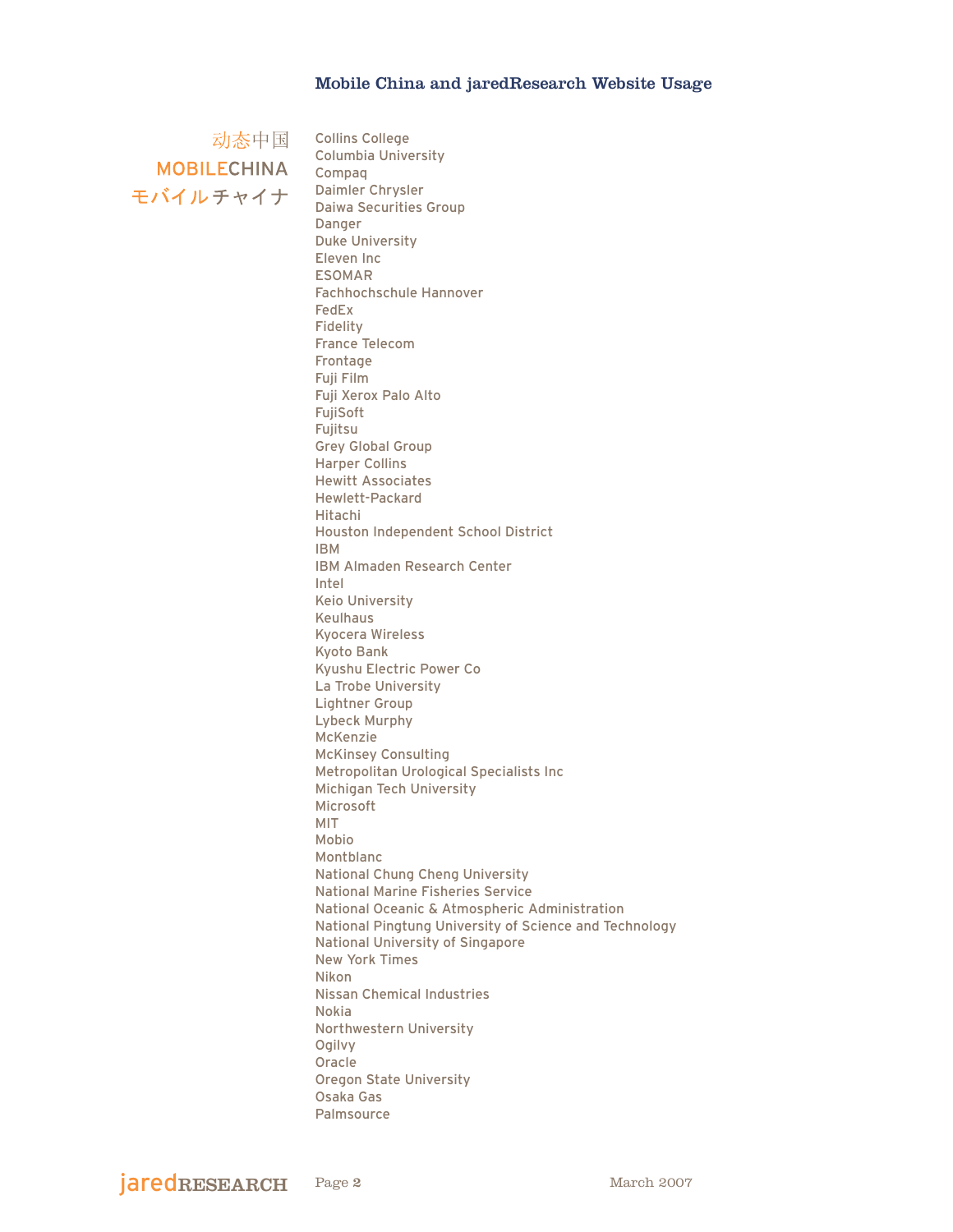MOBILECHINA Compaq モバイルチャイナ

动态中国 Collins College Columbia University Daimler Chrysler Daiwa Securities Group Danger Duke University Eleven Inc ESOMAR Fachhochschule Hannover FedEx Fidelity France Telecom Frontage Fuji Film Fuji Xerox Palo Alto FujiSoft Fujitsu Grey Global Group Harper Collins Hewitt Associates Hewlett-Packard Hitachi Houston Independent School District IBM IBM Almaden Research Center Intel Keio University Keulhaus Kyocera Wireless Kyoto Bank Kyushu Electric Power Co La Trobe University Lightner Group Lybeck Murphy McKenzie McKinsey Consulting Metropolitan Urological Specialists Inc Michigan Tech University Microsoft MIT Mobio Montblanc National Chung Cheng University National Marine Fisheries Service National Oceanic & Atmospheric Administration National Pingtung University of Science and Technology National University of Singapore New York Times Nikon Nissan Chemical Industries Nokia Northwestern University Ogilvy Oracle Oregon State University Osaka Gas Palmsource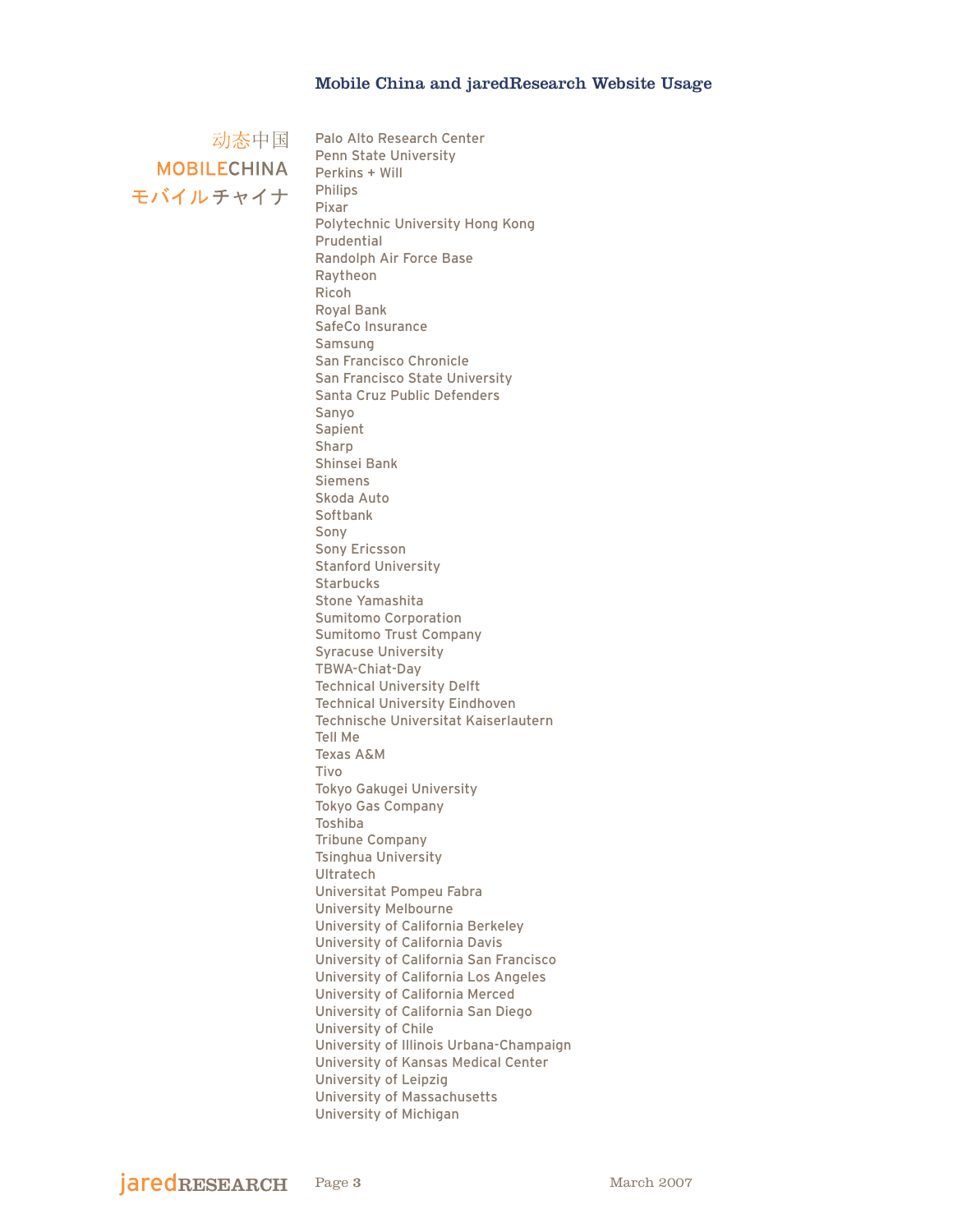动态中国 **MOBILECHINA** モバイルチャイナ

Palo Alto Research Center Penn State University Perkins + Will Philips Pixar Polytechnic University Hong Kong Prudential Randolph Air Force Base Raytheon Ricoh Royal Bank SafeCo Insurance Samsung San Francisco Chronicle San Francisco State University Santa Cruz Public Defenders Sanyo Sapient Sharp Shinsei Bank Siemens Skoda Auto Softbank Sony Sony Ericsson Stanford University **Starbucks** Stone Yamashita Sumitomo Corporation Sumitomo Trust Company Syracuse University TBWA-Chiat-Day Technical University Delft Technical University Eindhoven Technische Universitat Kaiserlautern Tell Me Texas A&M Tivo Tokyo Gakugei University Tokyo Gas Company Toshiba Tribune Company Tsinghua University **Ultratech** Universitat Pompeu Fabra University Melbourne University of California Berkeley University of California Davis University of California San Francisco University of California Los Angeles University of California Merced University of California San Diego University of Chile University of Illinois Urbana-Champaign University of Kansas Medical Center University of Leipzig University of Massachusetts University of Michigan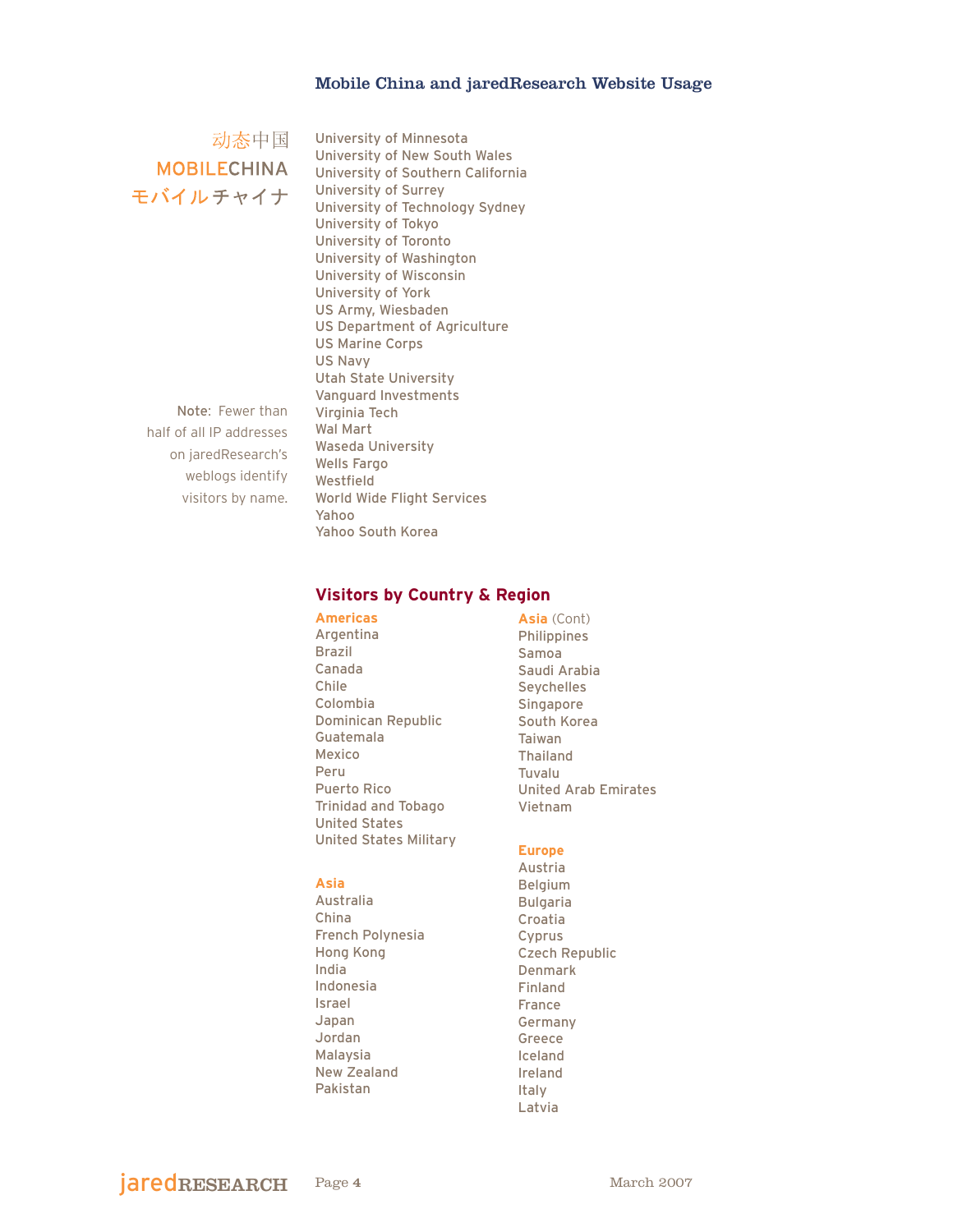动态中国 **MOBILECHINA** モバイルチャイナ

Note: Fewer than half of all IP addresses on jaredResearch's weblogs identify visitors by name.

University of Minnesota University of New South Wales University of Southern California University of Surrey University of Technology Sydney University of Tokyo University of Toronto University of Washington University of Wisconsin University of York US Army, Wiesbaden US Department of Agriculture US Marine Corps US Navy Utah State University Vanguard Investments Virginia Tech Wal Mart Waseda University Wells Fargo Westfield World Wide Flight Services Yahoo Yahoo South Korea

## **Visitors by Country & Region**

**Americas** Argentina Brazil Canada Chile Colombia Dominican Republic Guatemala Mexico Peru Puerto Rico Trinidad and Tobago United States United States Military

#### **Asia**

Australia China French Polynesia Hong Kong India Indonesia Israel Japan Jordan Malaysia New Zealand Pakistan

**Asia** (Cont) Philippines Samoa Saudi Arabia Seychelles Singapore South Korea Taiwan Thailand Tuvalu United Arab Emirates Vietnam

#### **Europe**

Austria Belgium Bulgaria Croatia Cyprus Czech Republic Denmark Finland France Germany Greece Iceland Ireland Italy Latvia